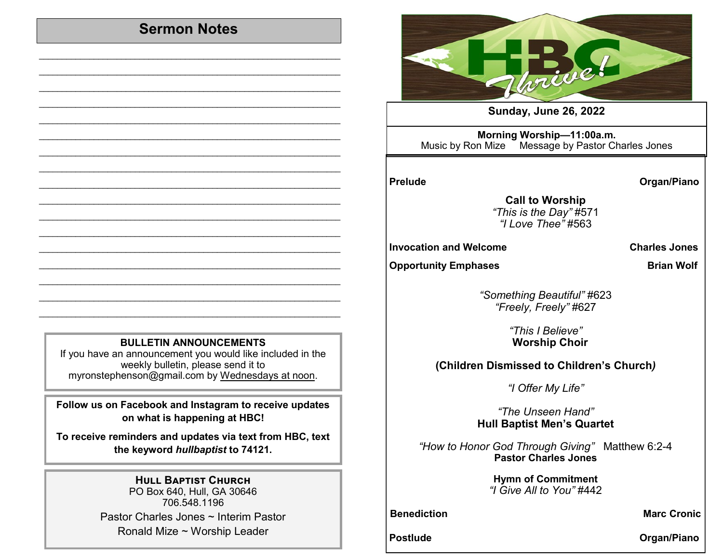## **Sermon Notes**

 $\mathcal{L}_\text{max}$  , and the set of the set of the set of the set of the set of the set of the set of the set of the set of the set of the set of the set of the set of the set of the set of the set of the set of the set of the  $\mathcal{L}_\text{max}$  , and the set of the set of the set of the set of the set of the set of the set of the set of the set of the set of the set of the set of the set of the set of the set of the set of the set of the set of the  $\mathcal{L}_\text{max}$  , and the set of the set of the set of the set of the set of the set of the set of the set of the set of the set of the set of the set of the set of the set of the set of the set of the set of the set of the  $\mathcal{L}_\text{max}$  , and the set of the set of the set of the set of the set of the set of the set of the set of the set of the set of the set of the set of the set of the set of the set of the set of the set of the set of the  $\mathcal{L}_\text{max}$  , and the set of the set of the set of the set of the set of the set of the set of the set of the set of the set of the set of the set of the set of the set of the set of the set of the set of the set of the  $\mathcal{L}_\text{max}$  , and the set of the set of the set of the set of the set of the set of the set of the set of the set of the set of the set of the set of the set of the set of the set of the set of the set of the set of the  $\mathcal{L}_\text{max}$  , and the set of the set of the set of the set of the set of the set of the set of the set of the set of the set of the set of the set of the set of the set of the set of the set of the set of the set of the  $\mathcal{L}_\text{max}$  , and the contribution of the contribution of the contribution of the contribution of the contribution of the contribution of the contribution of the contribution of the contribution of the contribution of t  $\mathcal{L}_\text{max}$  , and the set of the set of the set of the set of the set of the set of the set of the set of the set of the set of the set of the set of the set of the set of the set of the set of the set of the set of the  $\mathcal{L}_\text{max}$  , and the set of the set of the set of the set of the set of the set of the set of the set of the set of the set of the set of the set of the set of the set of the set of the set of the set of the set of the  $\mathcal{L}_\text{max}$  , and the set of the set of the set of the set of the set of the set of the set of the set of the set of the set of the set of the set of the set of the set of the set of the set of the set of the set of the  $\mathcal{L}_\text{max}$  , and the set of the set of the set of the set of the set of the set of the set of the set of the set of the set of the set of the set of the set of the set of the set of the set of the set of the set of the  $\mathcal{L}_\text{max}$  , and the set of the set of the set of the set of the set of the set of the set of the set of the set of the set of the set of the set of the set of the set of the set of the set of the set of the set of the  $\mathcal{L}_\text{max}$  , and the set of the set of the set of the set of the set of the set of the set of the set of the set of the set of the set of the set of the set of the set of the set of the set of the set of the set of the  $\mathcal{L}_\text{max}$  , and the set of the set of the set of the set of the set of the set of the set of the set of the set of the set of the set of the set of the set of the set of the set of the set of the set of the set of the  $\mathcal{L}_\text{max}$  , and the set of the set of the set of the set of the set of the set of the set of the set of the set of the set of the set of the set of the set of the set of the set of the set of the set of the set of the  $\mathcal{L}_\text{max}$  , and the set of the set of the set of the set of the set of the set of the set of the set of the set of the set of the set of the set of the set of the set of the set of the set of the set of the set of the



**Sunday, June 26, 2022** 

**Morning Worship—11:00a.m.**  Music by Ron Mize Message by Pastor Charles Jones

Prelude **Calculation Contract Contract Contract Contract Contract Contract Contract Contract Contract Contract Contract Contract Contract Contract Contract Contract Contract Contract Contract Contract Contract Contract Con** 

**Call to Worship**  *"This is the Day"* #571 *"I Love Thee"* #563

**Invocation and Welcome Charles Jones** 

**Opportunity Emphases** Brian Wolf

*"Something Beautiful"* #623 *"Freely, Freely"* #627

> *"This I Believe"* **Worship Choir**

**(Children Dismissed to Children's Church***)*

*"I Offer My Life"*

*"The Unseen Hand"*  **Hull Baptist Men's Quartet**

*"How to Honor God Through Giving"* Matthew 6:2-4 **Pastor Charles Jones**

> **Hymn of Commitment** *"I Give All to You"* #442

**Benediction Marc Cronic** 

Postlude **Contract Contract Contract Contract Contract Contract Contract Contract Contract Contract Contract Contract Contract Contract Contract Contract Contract Contract Contract Contract Contract Contract Contract Contr** 

## **BULLETIN ANNOUNCEMENTS**

If you have an announcement you would like included in the weekly bulletin, please send it to myronstephenson@gmail.com by Wednesdays at noon.

**Follow us on Facebook and Instagram to receive updates on what is happening at HBC!**

**To receive reminders and updates via text from HBC, text the keyword** *hullbaptist* **to 74121.**

## **Hull Baptist Church**

PO Box 640, Hull, GA 30646 706.548.1196 Pastor Charles Jones ~ Interim Pastor Ronald Mize ~ Worship Leader